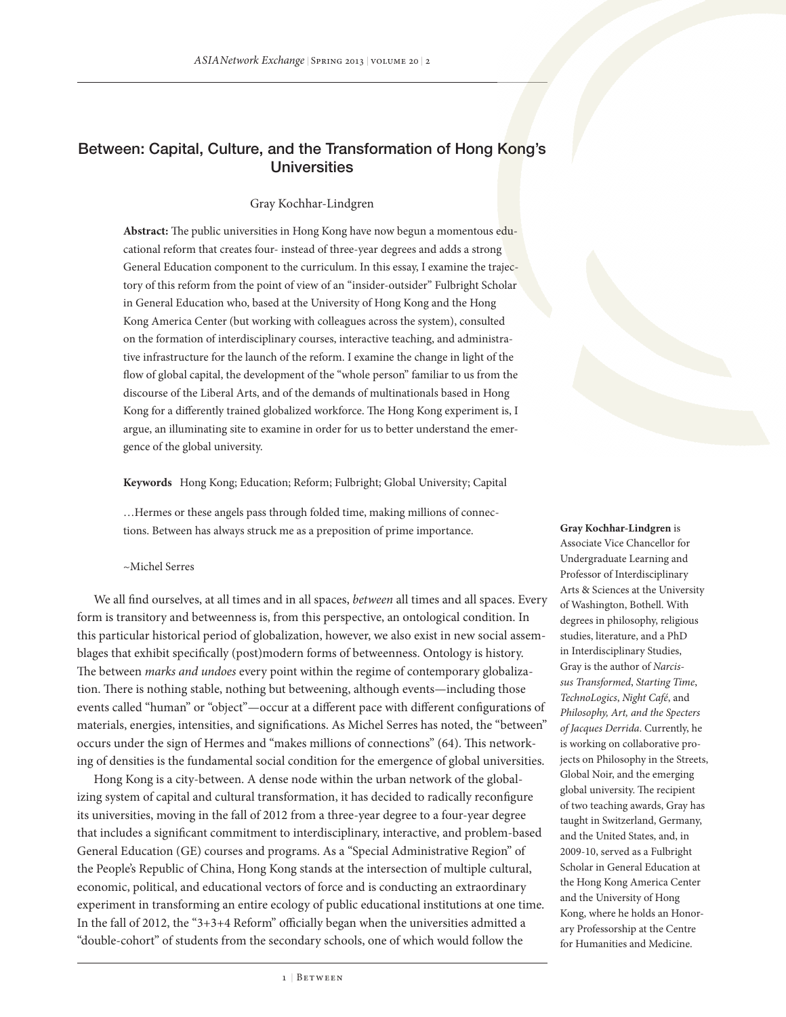# Between: Capital, Culture, and the Transformation of Hong Kong's **Universities**

# Gray Kochhar-Lindgren

**Abstract:** The public universities in Hong Kong have now begun a momentous educational reform that creates four- instead of three-year degrees and adds a strong General Education component to the curriculum. In this essay, I examine the trajectory of this reform from the point of view of an "insider-outsider" Fulbright Scholar in General Education who, based at the University of Hong Kong and the Hong Kong America Center (but working with colleagues across the system), consulted on the formation of interdisciplinary courses, interactive teaching, and administrative infrastructure for the launch of the reform. I examine the change in light of the flow of global capital, the development of the "whole person" familiar to us from the discourse of the Liberal Arts, and of the demands of multinationals based in Hong Kong for a differently trained globalized workforce. The Hong Kong experiment is, I argue, an illuminating site to examine in order for us to better understand the emergence of the global university.

**Keywords** Hong Kong; Education; Reform; Fulbright; Global University; Capital

…Hermes or these angels pass through folded time, making millions of connections. Between has always struck me as a preposition of prime importance.

### ~Michel Serres

We all find ourselves, at all times and in all spaces, *between* all times and all spaces. Every form is transitory and betweenness is, from this perspective, an ontological condition. In this particular historical period of globalization, however, we also exist in new social assemblages that exhibit specifically (post)modern forms of betweenness. Ontology is history. The between *marks and undoes* every point within the regime of contemporary globalization. There is nothing stable, nothing but betweening, although events—including those events called "human" or "object"—occur at a different pace with different configurations of materials, energies, intensities, and significations. As Michel Serres has noted, the "between" occurs under the sign of Hermes and "makes millions of connections" (64). This networking of densities is the fundamental social condition for the emergence of global universities.

Hong Kong is a city-between. A dense node within the urban network of the globalizing system of capital and cultural transformation, it has decided to radically reconfigure its universities, moving in the fall of 2012 from a three-year degree to a four-year degree that includes a significant commitment to interdisciplinary, interactive, and problem-based General Education (GE) courses and programs. As a "Special Administrative Region" of the People's Republic of China, Hong Kong stands at the intersection of multiple cultural, economic, political, and educational vectors of force and is conducting an extraordinary experiment in transforming an entire ecology of public educational institutions at one time. In the fall of 2012, the "3+3+4 Reform" officially began when the universities admitted a "double-cohort" of students from the secondary schools, one of which would follow the

**Gray Kochhar-Lindgren** is Associate Vice Chancellor for Undergraduate Learning and Professor of Interdisciplinary Arts & Sciences at the University of Washington, Bothell. With degrees in philosophy, religious studies, literature, and a PhD in Interdisciplinary Studies, Gray is the author of *Narcissus Transformed*, *Starting Time*, *TechnoLogics*, *Night Café*, and *Philosophy, Art, and the Specters of Jacques Derrida*. Currently, he is working on collaborative projects on Philosophy in the Streets, Global Noir, and the emerging global university. The recipient of two teaching awards, Gray has taught in Switzerland, Germany, and the United States, and, in 2009-10, served as a Fulbright Scholar in General Education at the Hong Kong America Center and the University of Hong Kong, where he holds an Honorary Professorship at the Centre for Humanities and Medicine.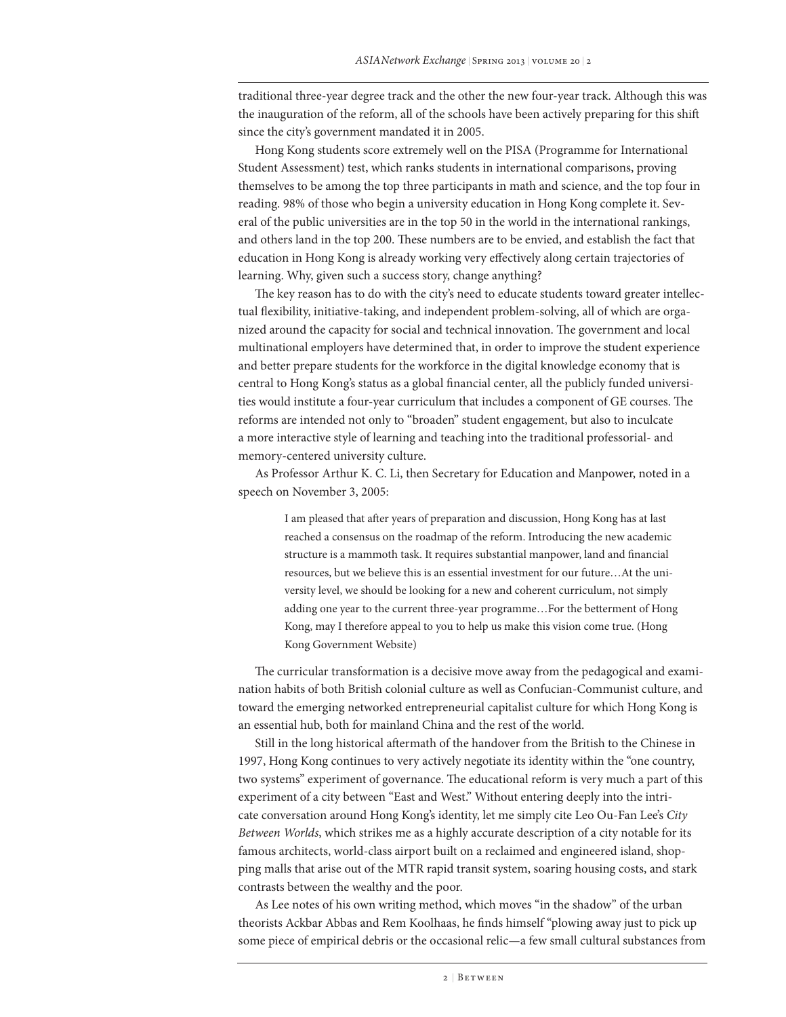traditional three-year degree track and the other the new four-year track. Although this was the inauguration of the reform, all of the schools have been actively preparing for this shift since the city's government mandated it in 2005.

Hong Kong students score extremely well on the PISA (Programme for International Student Assessment) test, which ranks students in international comparisons, proving themselves to be among the top three participants in math and science, and the top four in reading. 98% of those who begin a university education in Hong Kong complete it. Several of the public universities are in the top 50 in the world in the international rankings, and others land in the top 200. These numbers are to be envied, and establish the fact that education in Hong Kong is already working very effectively along certain trajectories of learning. Why, given such a success story, change anything?

The key reason has to do with the city's need to educate students toward greater intellectual flexibility, initiative-taking, and independent problem-solving, all of which are organized around the capacity for social and technical innovation. The government and local multinational employers have determined that, in order to improve the student experience and better prepare students for the workforce in the digital knowledge economy that is central to Hong Kong's status as a global financial center, all the publicly funded universities would institute a four-year curriculum that includes a component of GE courses. The reforms are intended not only to "broaden" student engagement, but also to inculcate a more interactive style of learning and teaching into the traditional professorial- and memory-centered university culture.

As Professor Arthur K. C. Li, then Secretary for Education and Manpower, noted in a speech on November 3, 2005:

> I am pleased that after years of preparation and discussion, Hong Kong has at last reached a consensus on the roadmap of the reform. Introducing the new academic structure is a mammoth task. It requires substantial manpower, land and financial resources, but we believe this is an essential investment for our future…At the university level, we should be looking for a new and coherent curriculum, not simply adding one year to the current three-year programme…For the betterment of Hong Kong, may I therefore appeal to you to help us make this vision come true. (Hong Kong Government Website)

The curricular transformation is a decisive move away from the pedagogical and examination habits of both British colonial culture as well as Confucian-Communist culture, and toward the emerging networked entrepreneurial capitalist culture for which Hong Kong is an essential hub, both for mainland China and the rest of the world.

Still in the long historical aftermath of the handover from the British to the Chinese in 1997, Hong Kong continues to very actively negotiate its identity within the "one country, two systems" experiment of governance. The educational reform is very much a part of this experiment of a city between "East and West." Without entering deeply into the intricate conversation around Hong Kong's identity, let me simply cite Leo Ou-Fan Lee's *City Between Worlds*, which strikes me as a highly accurate description of a city notable for its famous architects, world-class airport built on a reclaimed and engineered island, shopping malls that arise out of the MTR rapid transit system, soaring housing costs, and stark contrasts between the wealthy and the poor.

As Lee notes of his own writing method, which moves "in the shadow" of the urban theorists Ackbar Abbas and Rem Koolhaas, he finds himself "plowing away just to pick up some piece of empirical debris or the occasional relic—a few small cultural substances from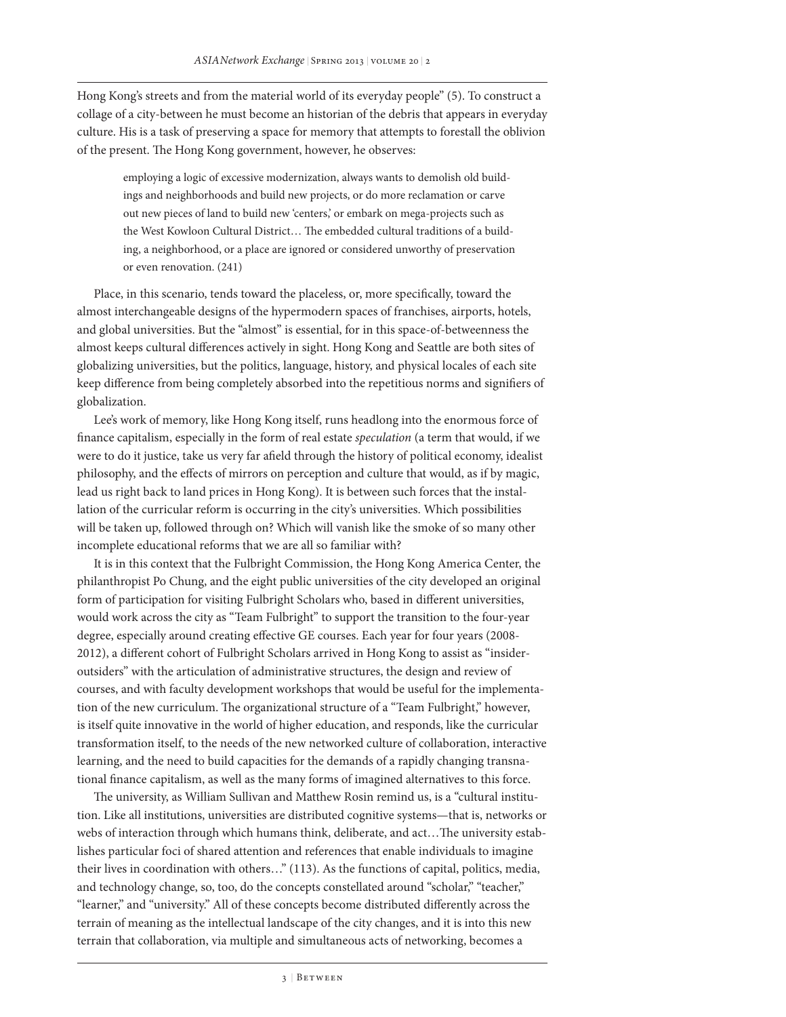Hong Kong's streets and from the material world of its everyday people" (5). To construct a collage of a city-between he must become an historian of the debris that appears in everyday culture. His is a task of preserving a space for memory that attempts to forestall the oblivion of the present. The Hong Kong government, however, he observes:

employing a logic of excessive modernization, always wants to demolish old buildings and neighborhoods and build new projects, or do more reclamation or carve out new pieces of land to build new 'centers,' or embark on mega-projects such as the West Kowloon Cultural District… The embedded cultural traditions of a building, a neighborhood, or a place are ignored or considered unworthy of preservation or even renovation. (241)

Place, in this scenario, tends toward the placeless, or, more specifically, toward the almost interchangeable designs of the hypermodern spaces of franchises, airports, hotels, and global universities. But the "almost" is essential, for in this space-of-betweenness the almost keeps cultural differences actively in sight. Hong Kong and Seattle are both sites of globalizing universities, but the politics, language, history, and physical locales of each site keep difference from being completely absorbed into the repetitious norms and signifiers of globalization.

Lee's work of memory, like Hong Kong itself, runs headlong into the enormous force of finance capitalism, especially in the form of real estate *speculation* (a term that would, if we were to do it justice, take us very far afield through the history of political economy, idealist philosophy, and the effects of mirrors on perception and culture that would, as if by magic, lead us right back to land prices in Hong Kong). It is between such forces that the installation of the curricular reform is occurring in the city's universities. Which possibilities will be taken up, followed through on? Which will vanish like the smoke of so many other incomplete educational reforms that we are all so familiar with?

It is in this context that the Fulbright Commission, the Hong Kong America Center, the philanthropist Po Chung, and the eight public universities of the city developed an original form of participation for visiting Fulbright Scholars who, based in different universities, would work across the city as "Team Fulbright" to support the transition to the four-year degree, especially around creating effective GE courses. Each year for four years (2008- 2012), a different cohort of Fulbright Scholars arrived in Hong Kong to assist as "insideroutsiders" with the articulation of administrative structures, the design and review of courses, and with faculty development workshops that would be useful for the implementation of the new curriculum. The organizational structure of a "Team Fulbright," however, is itself quite innovative in the world of higher education, and responds, like the curricular transformation itself, to the needs of the new networked culture of collaboration, interactive learning, and the need to build capacities for the demands of a rapidly changing transnational finance capitalism, as well as the many forms of imagined alternatives to this force.

The university, as William Sullivan and Matthew Rosin remind us, is a "cultural institution. Like all institutions, universities are distributed cognitive systems—that is, networks or webs of interaction through which humans think, deliberate, and act…The university establishes particular foci of shared attention and references that enable individuals to imagine their lives in coordination with others…" (113). As the functions of capital, politics, media, and technology change, so, too, do the concepts constellated around "scholar," "teacher," "learner," and "university." All of these concepts become distributed differently across the terrain of meaning as the intellectual landscape of the city changes, and it is into this new terrain that collaboration, via multiple and simultaneous acts of networking, becomes a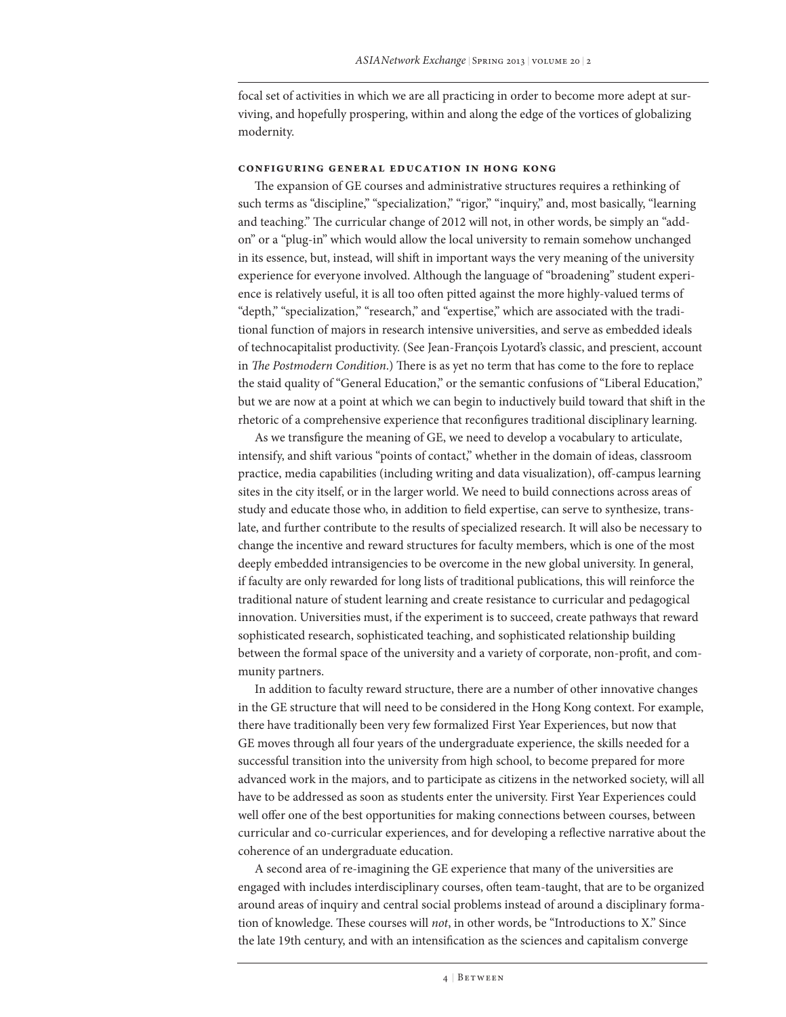focal set of activities in which we are all practicing in order to become more adept at surviving, and hopefully prospering, within and along the edge of the vortices of globalizing modernity.

### **Configuring General Education in Hong Kong**

The expansion of GE courses and administrative structures requires a rethinking of such terms as "discipline," "specialization," "rigor," "inquiry," and, most basically, "learning and teaching." The curricular change of 2012 will not, in other words, be simply an "addon" or a "plug-in" which would allow the local university to remain somehow unchanged in its essence, but, instead, will shift in important ways the very meaning of the university experience for everyone involved. Although the language of "broadening" student experience is relatively useful, it is all too often pitted against the more highly-valued terms of "depth," "specialization," "research," and "expertise," which are associated with the traditional function of majors in research intensive universities, and serve as embedded ideals of technocapitalist productivity. (See Jean-François Lyotard's classic, and prescient, account in *The Postmodern Condition*.) There is as yet no term that has come to the fore to replace the staid quality of "General Education," or the semantic confusions of "Liberal Education," but we are now at a point at which we can begin to inductively build toward that shift in the rhetoric of a comprehensive experience that reconfigures traditional disciplinary learning.

As we transfigure the meaning of GE, we need to develop a vocabulary to articulate, intensify, and shift various "points of contact," whether in the domain of ideas, classroom practice, media capabilities (including writing and data visualization), off-campus learning sites in the city itself, or in the larger world. We need to build connections across areas of study and educate those who, in addition to field expertise, can serve to synthesize, translate, and further contribute to the results of specialized research. It will also be necessary to change the incentive and reward structures for faculty members, which is one of the most deeply embedded intransigencies to be overcome in the new global university. In general, if faculty are only rewarded for long lists of traditional publications, this will reinforce the traditional nature of student learning and create resistance to curricular and pedagogical innovation. Universities must, if the experiment is to succeed, create pathways that reward sophisticated research, sophisticated teaching, and sophisticated relationship building between the formal space of the university and a variety of corporate, non-profit, and community partners.

In addition to faculty reward structure, there are a number of other innovative changes in the GE structure that will need to be considered in the Hong Kong context. For example, there have traditionally been very few formalized First Year Experiences, but now that GE moves through all four years of the undergraduate experience, the skills needed for a successful transition into the university from high school, to become prepared for more advanced work in the majors, and to participate as citizens in the networked society, will all have to be addressed as soon as students enter the university. First Year Experiences could well offer one of the best opportunities for making connections between courses, between curricular and co-curricular experiences, and for developing a reflective narrative about the coherence of an undergraduate education.

A second area of re-imagining the GE experience that many of the universities are engaged with includes interdisciplinary courses, often team-taught, that are to be organized around areas of inquiry and central social problems instead of around a disciplinary formation of knowledge. These courses will *not*, in other words, be "Introductions to X." Since the late 19th century, and with an intensification as the sciences and capitalism converge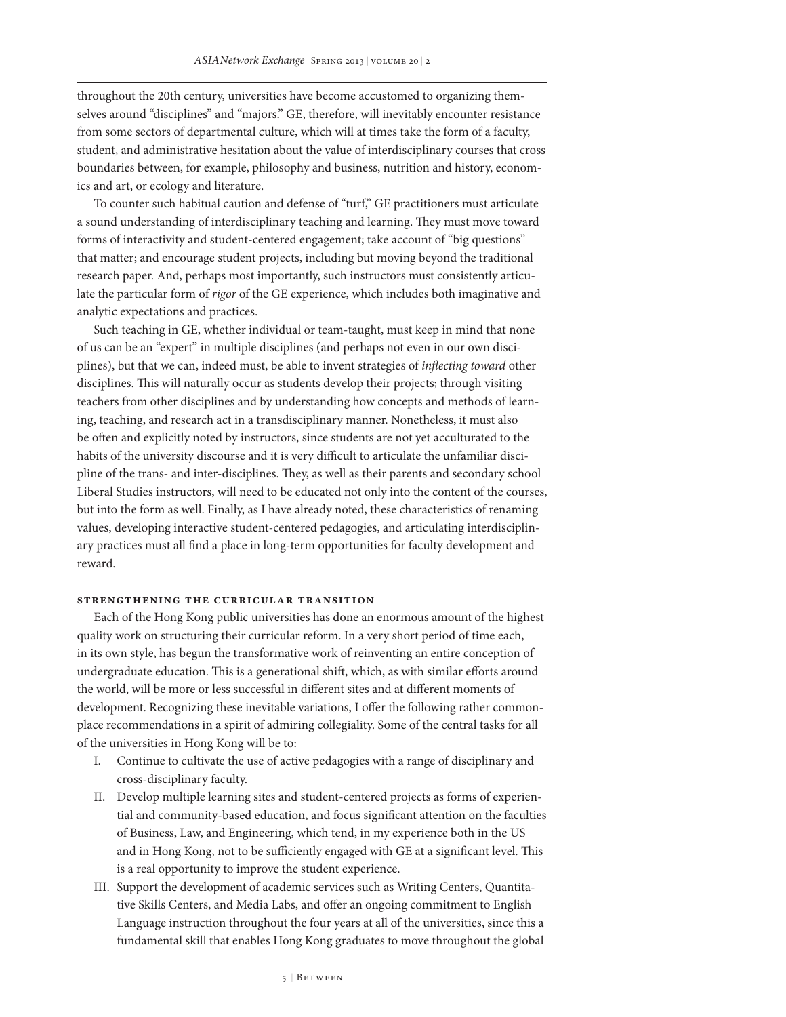throughout the 20th century, universities have become accustomed to organizing themselves around "disciplines" and "majors." GE, therefore, will inevitably encounter resistance from some sectors of departmental culture, which will at times take the form of a faculty, student, and administrative hesitation about the value of interdisciplinary courses that cross boundaries between, for example, philosophy and business, nutrition and history, economics and art, or ecology and literature.

To counter such habitual caution and defense of "turf," GE practitioners must articulate a sound understanding of interdisciplinary teaching and learning. They must move toward forms of interactivity and student-centered engagement; take account of "big questions" that matter; and encourage student projects, including but moving beyond the traditional research paper. And, perhaps most importantly, such instructors must consistently articulate the particular form of *rigor* of the GE experience, which includes both imaginative and analytic expectations and practices.

Such teaching in GE, whether individual or team-taught, must keep in mind that none of us can be an "expert" in multiple disciplines (and perhaps not even in our own disciplines), but that we can, indeed must, be able to invent strategies of *inflecting toward* other disciplines. This will naturally occur as students develop their projects; through visiting teachers from other disciplines and by understanding how concepts and methods of learning, teaching, and research act in a transdisciplinary manner. Nonetheless, it must also be often and explicitly noted by instructors, since students are not yet acculturated to the habits of the university discourse and it is very difficult to articulate the unfamiliar discipline of the trans- and inter-disciplines. They, as well as their parents and secondary school Liberal Studies instructors, will need to be educated not only into the content of the courses, but into the form as well. Finally, as I have already noted, these characteristics of renaming values, developing interactive student-centered pedagogies, and articulating interdisciplinary practices must all find a place in long-term opportunities for faculty development and reward.

## **Strengthening the Curricular Transition**

Each of the Hong Kong public universities has done an enormous amount of the highest quality work on structuring their curricular reform. In a very short period of time each, in its own style, has begun the transformative work of reinventing an entire conception of undergraduate education. This is a generational shift, which, as with similar efforts around the world, will be more or less successful in different sites and at different moments of development. Recognizing these inevitable variations, I offer the following rather commonplace recommendations in a spirit of admiring collegiality. Some of the central tasks for all of the universities in Hong Kong will be to:

- I. Continue to cultivate the use of active pedagogies with a range of disciplinary and cross-disciplinary faculty.
- II. Develop multiple learning sites and student-centered projects as forms of experiential and community-based education, and focus significant attention on the faculties of Business, Law, and Engineering, which tend, in my experience both in the US and in Hong Kong, not to be sufficiently engaged with GE at a significant level. This is a real opportunity to improve the student experience.
- III. Support the development of academic services such as Writing Centers, Quantitative Skills Centers, and Media Labs, and offer an ongoing commitment to English Language instruction throughout the four years at all of the universities, since this a fundamental skill that enables Hong Kong graduates to move throughout the global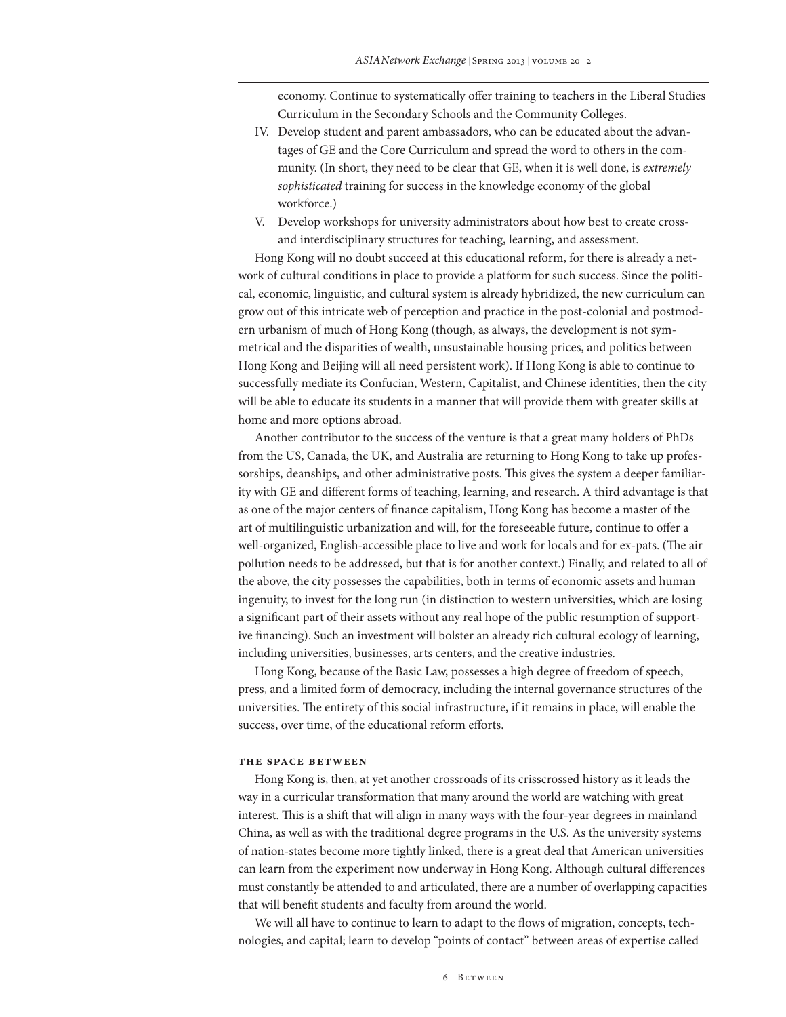economy. Continue to systematically offer training to teachers in the Liberal Studies Curriculum in the Secondary Schools and the Community Colleges.

- IV. Develop student and parent ambassadors, who can be educated about the advantages of GE and the Core Curriculum and spread the word to others in the community. (In short, they need to be clear that GE, when it is well done, is *extremely sophisticated* training for success in the knowledge economy of the global workforce.)
- V. Develop workshops for university administrators about how best to create crossand interdisciplinary structures for teaching, learning, and assessment.

Hong Kong will no doubt succeed at this educational reform, for there is already a network of cultural conditions in place to provide a platform for such success. Since the political, economic, linguistic, and cultural system is already hybridized, the new curriculum can grow out of this intricate web of perception and practice in the post-colonial and postmodern urbanism of much of Hong Kong (though, as always, the development is not symmetrical and the disparities of wealth, unsustainable housing prices, and politics between Hong Kong and Beijing will all need persistent work). If Hong Kong is able to continue to successfully mediate its Confucian, Western, Capitalist, and Chinese identities, then the city will be able to educate its students in a manner that will provide them with greater skills at home and more options abroad.

Another contributor to the success of the venture is that a great many holders of PhDs from the US, Canada, the UK, and Australia are returning to Hong Kong to take up professorships, deanships, and other administrative posts. This gives the system a deeper familiarity with GE and different forms of teaching, learning, and research. A third advantage is that as one of the major centers of finance capitalism, Hong Kong has become a master of the art of multilinguistic urbanization and will, for the foreseeable future, continue to offer a well-organized, English-accessible place to live and work for locals and for ex-pats. (The air pollution needs to be addressed, but that is for another context.) Finally, and related to all of the above, the city possesses the capabilities, both in terms of economic assets and human ingenuity, to invest for the long run (in distinction to western universities, which are losing a significant part of their assets without any real hope of the public resumption of supportive financing). Such an investment will bolster an already rich cultural ecology of learning, including universities, businesses, arts centers, and the creative industries.

Hong Kong, because of the Basic Law, possesses a high degree of freedom of speech, press, and a limited form of democracy, including the internal governance structures of the universities. The entirety of this social infrastructure, if it remains in place, will enable the success, over time, of the educational reform efforts.

## **The Space Between**

Hong Kong is, then, at yet another crossroads of its crisscrossed history as it leads the way in a curricular transformation that many around the world are watching with great interest. This is a shift that will align in many ways with the four-year degrees in mainland China, as well as with the traditional degree programs in the U.S. As the university systems of nation-states become more tightly linked, there is a great deal that American universities can learn from the experiment now underway in Hong Kong. Although cultural differences must constantly be attended to and articulated, there are a number of overlapping capacities that will benefit students and faculty from around the world.

We will all have to continue to learn to adapt to the flows of migration, concepts, technologies, and capital; learn to develop "points of contact" between areas of expertise called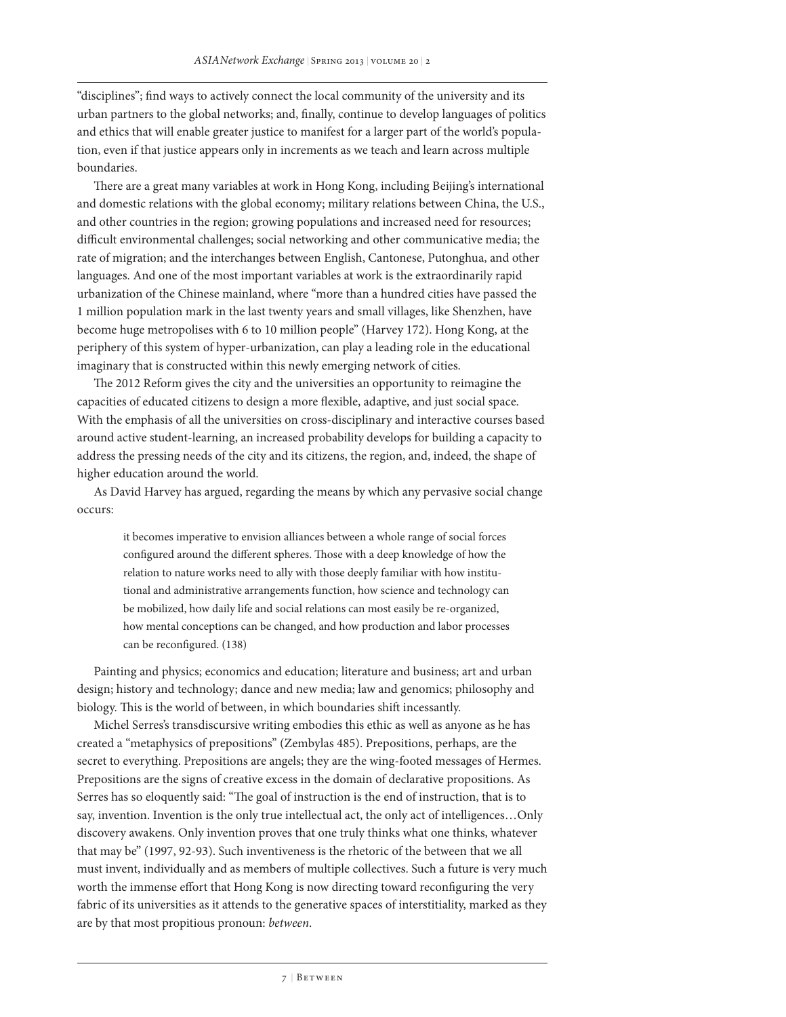"disciplines"; find ways to actively connect the local community of the university and its urban partners to the global networks; and, finally, continue to develop languages of politics and ethics that will enable greater justice to manifest for a larger part of the world's population, even if that justice appears only in increments as we teach and learn across multiple boundaries.

There are a great many variables at work in Hong Kong, including Beijing's international and domestic relations with the global economy; military relations between China, the U.S., and other countries in the region; growing populations and increased need for resources; difficult environmental challenges; social networking and other communicative media; the rate of migration; and the interchanges between English, Cantonese, Putonghua, and other languages. And one of the most important variables at work is the extraordinarily rapid urbanization of the Chinese mainland, where "more than a hundred cities have passed the 1 million population mark in the last twenty years and small villages, like Shenzhen, have become huge metropolises with 6 to 10 million people" (Harvey 172). Hong Kong, at the periphery of this system of hyper-urbanization, can play a leading role in the educational imaginary that is constructed within this newly emerging network of cities.

The 2012 Reform gives the city and the universities an opportunity to reimagine the capacities of educated citizens to design a more flexible, adaptive, and just social space. With the emphasis of all the universities on cross-disciplinary and interactive courses based around active student-learning, an increased probability develops for building a capacity to address the pressing needs of the city and its citizens, the region, and, indeed, the shape of higher education around the world.

As David Harvey has argued, regarding the means by which any pervasive social change occurs:

it becomes imperative to envision alliances between a whole range of social forces configured around the different spheres. Those with a deep knowledge of how the relation to nature works need to ally with those deeply familiar with how institutional and administrative arrangements function, how science and technology can be mobilized, how daily life and social relations can most easily be re-organized, how mental conceptions can be changed, and how production and labor processes can be reconfigured. (138)

Painting and physics; economics and education; literature and business; art and urban design; history and technology; dance and new media; law and genomics; philosophy and biology. This is the world of between, in which boundaries shift incessantly.

Michel Serres's transdiscursive writing embodies this ethic as well as anyone as he has created a "metaphysics of prepositions" (Zembylas 485). Prepositions, perhaps, are the secret to everything. Prepositions are angels; they are the wing-footed messages of Hermes. Prepositions are the signs of creative excess in the domain of declarative propositions. As Serres has so eloquently said: "The goal of instruction is the end of instruction, that is to say, invention. Invention is the only true intellectual act, the only act of intelligences…Only discovery awakens. Only invention proves that one truly thinks what one thinks, whatever that may be" (1997, 92-93). Such inventiveness is the rhetoric of the between that we all must invent, individually and as members of multiple collectives. Such a future is very much worth the immense effort that Hong Kong is now directing toward reconfiguring the very fabric of its universities as it attends to the generative spaces of interstitiality, marked as they are by that most propitious pronoun: *between*.